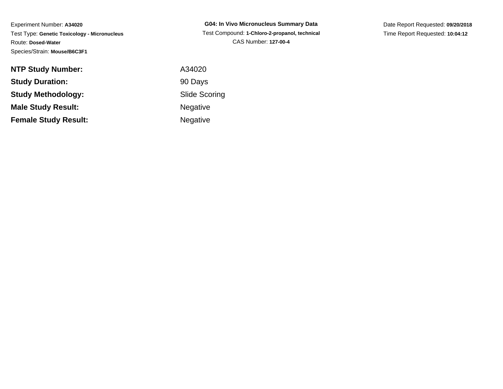| <b>G04: In Vivo Micronucleus Summary Data</b> |
|-----------------------------------------------|
| Test Compound: 1-Chloro-2-propanol, technical |
| CAS Number: 127-00-4                          |

Date Report Requested: **09/20/2018**Time Report Requested: **10:04:12**

| <b>NTP Study Number:</b>    | A34020               |
|-----------------------------|----------------------|
| <b>Study Duration:</b>      | 90 Days              |
| <b>Study Methodology:</b>   | <b>Slide Scoring</b> |
| <b>Male Study Result:</b>   | <b>Negative</b>      |
| <b>Female Study Result:</b> | Negative             |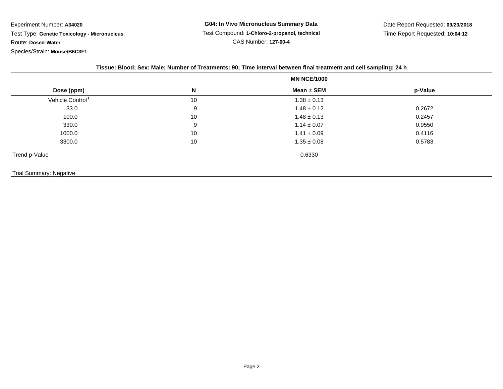**G04: In Vivo Micronucleus Summary Data** Test Compound: **1-Chloro-2-propanol, technical**CAS Number: **127-00-4**

Date Report Requested: **09/20/2018**Time Report Requested: **10:04:12**

|                              |    | <b>MN NCE/1000</b> |         |
|------------------------------|----|--------------------|---------|
| Dose (ppm)                   | N  | Mean ± SEM         | p-Value |
| Vehicle Control <sup>1</sup> | 10 | $1.38 \pm 0.13$    |         |
| 33.0                         | 9  | $1.48 \pm 0.12$    | 0.2672  |
| 100.0                        | 10 | $1.48 \pm 0.13$    | 0.2457  |
| 330.0                        | 9  | $1.14 \pm 0.07$    | 0.9550  |
| 1000.0                       | 10 | $1.41 \pm 0.09$    | 0.4116  |
| 3300.0                       | 10 | $1.35 \pm 0.08$    | 0.5783  |
| Trend p-Value                |    | 0.6330             |         |

Trial Summary: Negative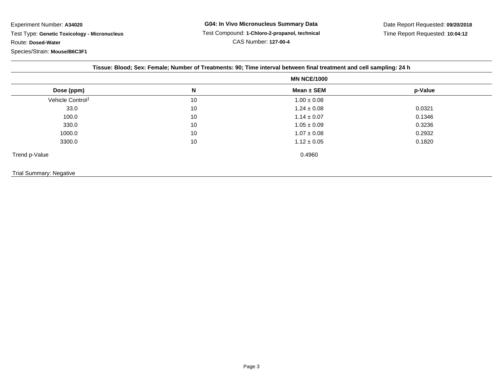**G04: In Vivo Micronucleus Summary Data** Test Compound: **1-Chloro-2-propanol, technical**CAS Number: **127-00-4**

Date Report Requested: **09/20/2018**Time Report Requested: **10:04:12**

| Tissue: Blood; Sex: Female; Number of Treatments: 90; Time interval between final treatment and cell sampling: 24 h |
|---------------------------------------------------------------------------------------------------------------------|
|---------------------------------------------------------------------------------------------------------------------|

|                              |    | <b>MN NCE/1000</b> |         |  |
|------------------------------|----|--------------------|---------|--|
| Dose (ppm)                   | N  | Mean ± SEM         | p-Value |  |
| Vehicle Control <sup>1</sup> | 10 | $1.00 \pm 0.08$    |         |  |
| 33.0                         | 10 | $1.24 \pm 0.08$    | 0.0321  |  |
| 100.0                        | 10 | $1.14 \pm 0.07$    | 0.1346  |  |
| 330.0                        | 10 | $1.05 \pm 0.09$    | 0.3236  |  |
| 1000.0                       | 10 | $1.07 \pm 0.08$    | 0.2932  |  |
| 3300.0                       | 10 | $1.12 \pm 0.05$    | 0.1820  |  |
| Trend p-Value                |    | 0.4960             |         |  |

## Trial Summary: Negative